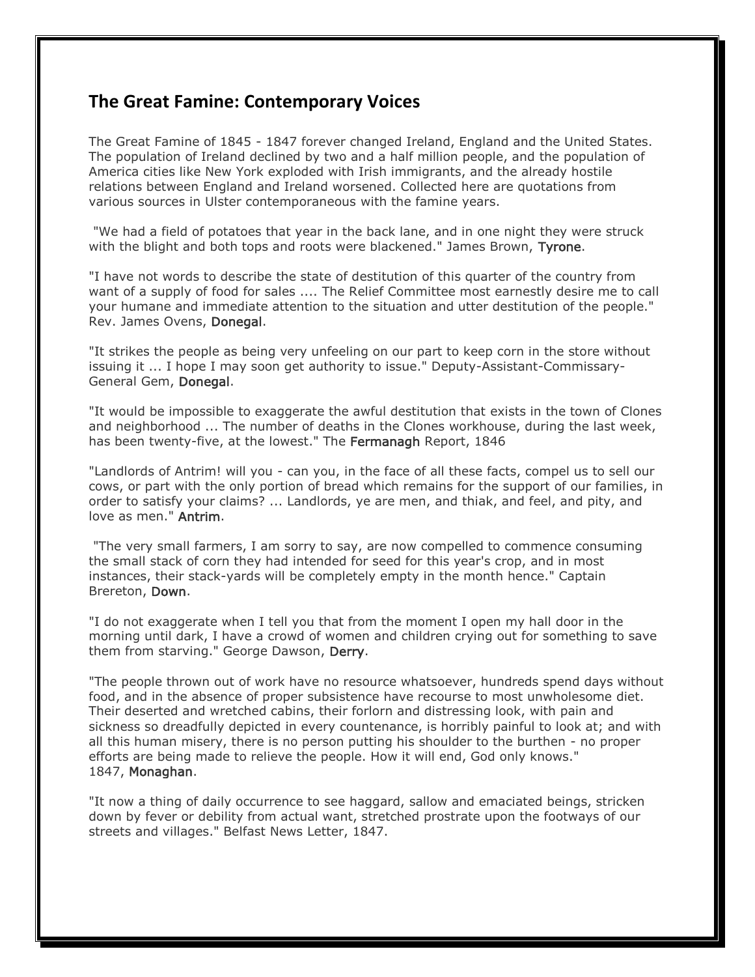## **The Great Famine: Contemporary Voices**

The Great Famine of 1845 - 1847 forever changed Ireland, England and the United States. The population of Ireland declined by two and a half million people, and the population of America cities like New York exploded with Irish immigrants, and the already hostile relations between England and Ireland worsened. Collected here are quotations from various sources in Ulster contemporaneous with the famine years.

"We had a field of potatoes that year in the back lane, and in one night they were struck with the blight and both tops and roots were blackened." James Brown, Tyrone.

"I have not words to describe the state of destitution of this quarter of the country from want of a supply of food for sales .... The Relief Committee most earnestly desire me to call your humane and immediate attention to the situation and utter destitution of the people." Rev. James Ovens, Donegal.

"It strikes the people as being very unfeeling on our part to keep corn in the store without issuing it ... I hope I may soon get authority to issue." Deputy-Assistant-Commissary-General Gem, Donegal.

"It would be impossible to exaggerate the awful destitution that exists in the town of Clones and neighborhood ... The number of deaths in the Clones workhouse, during the last week, has been twenty-five, at the lowest." The Fermanagh Report, 1846

"Landlords of Antrim! will you - can you, in the face of all these facts, compel us to sell our cows, or part with the only portion of bread which remains for the support of our families, in order to satisfy your claims? ... Landlords, ye are men, and thiak, and feel, and pity, and love as men." Antrim.

"The very small farmers, I am sorry to say, are now compelled to commence consuming the small stack of corn they had intended for seed for this year's crop, and in most instances, their stack-yards will be completely empty in the month hence." Captain Brereton, Down.

"I do not exaggerate when I tell you that from the moment I open my hall door in the morning until dark, I have a crowd of women and children crying out for something to save them from starving." George Dawson, Derry.

"The people thrown out of work have no resource whatsoever, hundreds spend days without food, and in the absence of proper subsistence have recourse to most unwholesome diet. Their deserted and wretched cabins, their forlorn and distressing look, with pain and sickness so dreadfully depicted in every countenance, is horribly painful to look at; and with all this human misery, there is no person putting his shoulder to the burthen - no proper efforts are being made to relieve the people. How it will end, God only knows." 1847, Monaghan.

"It now a thing of daily occurrence to see haggard, sallow and emaciated beings, stricken down by fever or debility from actual want, stretched prostrate upon the footways of our streets and villages." Belfast News Letter, 1847.